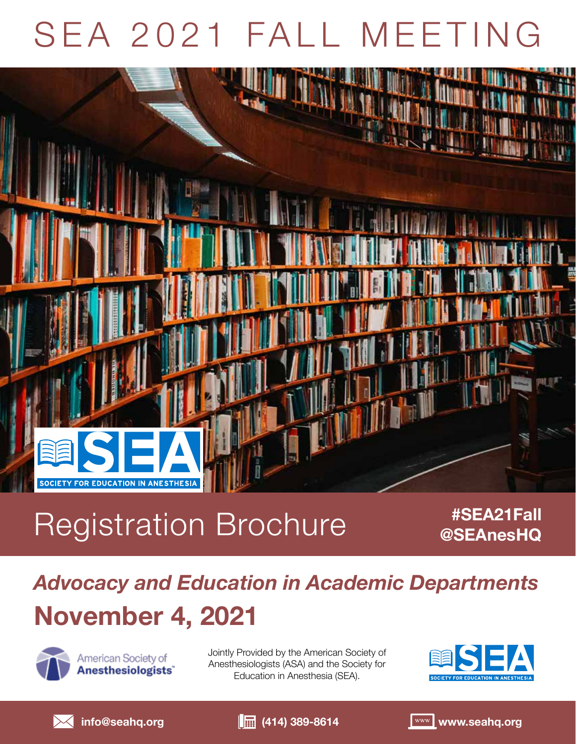# SEA 2021 FALL MEETING



## Registration Brochure *#SEA21Fall*

**@SEAnesHQ**

## *Advocacy and Education in Academic Departments* **November 4, 2021**



American Society of Anesthesiologists<sup>®</sup> Jointly Provided by the American Society of Anesthesiologists (ASA) and the Society for Education in Anesthesia (SEA).







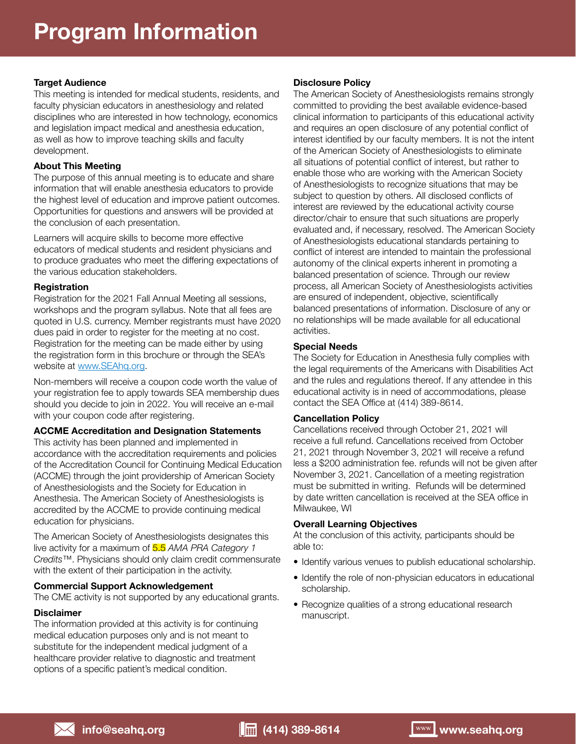### **Target Audience**

This meeting is intended for medical students, residents, and faculty physician educators in anesthesiology and related disciplines who are interested in how technology, economics and legislation impact medical and anesthesia education, as well as how to improve teaching skills and faculty development.

### **About This Meeting**

The purpose of this annual meeting is to educate and share information that will enable anesthesia educators to provide the highest level of education and improve patient outcomes. Opportunities for questions and answers will be provided at the conclusion of each presentation.

Learners will acquire skills to become more effective educators of medical students and resident physicians and to produce graduates who meet the differing expectations of the various education stakeholders.

### **Registration**

Registration for the 2021 Fall Annual Meeting all sessions, workshops and the program syllabus. Note that all fees are quoted in U.S. currency. Member registrants must have 2020 dues paid in order to register for the meeting at no cost. Registration for the meeting can be made either by using the registration form in this brochure or through the SEA's website at www.SEAhq.org.

Non-members will receive a coupon code worth the value of your registration fee to apply towards SEA membership dues should you decide to join in 2022. You will receive an e-mail with your coupon code after registering.

### **ACCME Accreditation and Designation Statements**

This activity has been planned and implemented in accordance with the accreditation requirements and policies of the Accreditation Council for Continuing Medical Education (ACCME) through the joint providership of American Society of Anesthesiologists and the Society for Education in Anesthesia. The American Society of Anesthesiologists is accredited by the ACCME to provide continuing medical education for physicians.

The American Society of Anesthesiologists designates this live activity for a maximum of 5.5 *AMA PRA Category 1 Credits*™. Physicians should only claim credit commensurate with the extent of their participation in the activity.

### **Commercial Support Acknowledgement**

The CME activity is not supported by any educational grants.

### **Disclaimer**

The information provided at this activity is for continuing medical education purposes only and is not meant to substitute for the independent medical judgment of a healthcare provider relative to diagnostic and treatment options of a specific patient's medical condition.

### **Disclosure Policy**

The American Society of Anesthesiologists remains strongly committed to providing the best available evidence-based clinical information to participants of this educational activity and requires an open disclosure of any potential conflict of interest identified by our faculty members. It is not the intent of the American Society of Anesthesiologists to eliminate all situations of potential conflict of interest, but rather to enable those who are working with the American Society of Anesthesiologists to recognize situations that may be subject to question by others. All disclosed conflicts of interest are reviewed by the educational activity course director/chair to ensure that such situations are properly evaluated and, if necessary, resolved. The American Society of Anesthesiologists educational standards pertaining to conflict of interest are intended to maintain the professional autonomy of the clinical experts inherent in promoting a balanced presentation of science. Through our review process, all American Society of Anesthesiologists activities are ensured of independent, objective, scientifically balanced presentations of information. Disclosure of any or no relationships will be made available for all educational activities.

### **Special Needs**

The Society for Education in Anesthesia fully complies with the legal requirements of the Americans with Disabilities Act and the rules and regulations thereof. If any attendee in this educational activity is in need of accommodations, please contact the SEA Office at (414) 389-8614.

### **Cancellation Policy**

Cancellations received through October 21, 2021 will receive a full refund. Cancellations received from October 21, 2021 through November 3, 2021 will receive a refund less a \$200 administration fee. refunds will not be given after November 3, 2021. Cancellation of a meeting registration must be submitted in writing. Refunds will be determined by date written cancellation is received at the SEA office in Milwaukee, WI

### **Overall Learning Objectives**

At the conclusion of this activity, participants should be able to:

- Identify various venues to publish educational scholarship.
- Identify the role of non-physician educators in educational scholarship.
- Recognize qualities of a strong educational research manuscript.

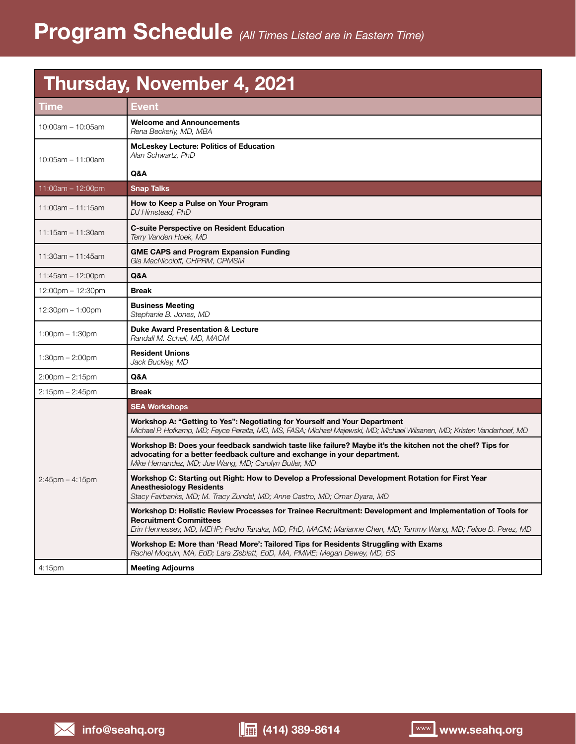### **Thursday, November 4, 2021**

| <b>Time</b>           | <b>Event</b>                                                                                                                                                                                                                                                 |  |  |
|-----------------------|--------------------------------------------------------------------------------------------------------------------------------------------------------------------------------------------------------------------------------------------------------------|--|--|
| 10:00am - 10:05am     | <b>Welcome and Announcements</b><br>Rena Beckerly, MD, MBA                                                                                                                                                                                                   |  |  |
| $10:05$ am - 11:00am  | <b>McLeskey Lecture: Politics of Education</b><br>Alan Schwartz, PhD                                                                                                                                                                                         |  |  |
|                       | Q&A                                                                                                                                                                                                                                                          |  |  |
| 11:00am $- 12:00$ pm  | <b>Snap Talks</b>                                                                                                                                                                                                                                            |  |  |
| $11:00$ am - 11:15am  | How to Keep a Pulse on Your Program<br>DJ Himstead, PhD                                                                                                                                                                                                      |  |  |
| 11:15am - 11:30am     | <b>C-suite Perspective on Resident Education</b><br>Terry Vanden Hoek, MD                                                                                                                                                                                    |  |  |
| $11:30$ am - 11:45am  | <b>GME CAPS and Program Expansion Funding</b><br>Gia MacNicoloff, CHPRM, CPMSM                                                                                                                                                                               |  |  |
| $11:45am - 12:00pm$   | Q&A                                                                                                                                                                                                                                                          |  |  |
| 12:00pm - 12:30pm     | <b>Break</b>                                                                                                                                                                                                                                                 |  |  |
| $12:30$ pm $-1:00$ pm | <b>Business Meeting</b><br>Stephanie B. Jones, MD                                                                                                                                                                                                            |  |  |
| $1:00$ pm $-1:30$ pm  | <b>Duke Award Presentation &amp; Lecture</b><br>Randall M. Schell, MD. MACM                                                                                                                                                                                  |  |  |
| $1:30$ pm $- 2:00$ pm | <b>Resident Unions</b><br>Jack Buckley, MD                                                                                                                                                                                                                   |  |  |
| $2:00$ pm $- 2:15$ pm | Q&A                                                                                                                                                                                                                                                          |  |  |
| $2:15$ pm $- 2:45$ pm | <b>Break</b>                                                                                                                                                                                                                                                 |  |  |
| $2:45$ pm $-4:15$ pm  | <b>SEA Workshops</b>                                                                                                                                                                                                                                         |  |  |
|                       | Workshop A: "Getting to Yes": Negotiating for Yourself and Your Department<br>Michael P. Hofkamp, MD; Feyce Peralta, MD, MS, FASA; Michael Majewski, MD; Michael Wiisanen, MD; Kristen Vanderhoef, MD                                                        |  |  |
|                       | Workshop B: Does your feedback sandwich taste like failure? Maybe it's the kitchen not the chef? Tips for<br>advocating for a better feedback culture and exchange in your department.<br>Mike Hernandez, MD; Jue Wang, MD; Carolyn Butler, MD               |  |  |
|                       | Workshop C: Starting out Right: How to Develop a Professional Development Rotation for First Year<br><b>Anesthesiology Residents</b><br>Stacy Fairbanks, MD; M. Tracy Zundel, MD; Anne Castro, MD; Omar Dyara, MD                                            |  |  |
|                       | Workshop D: Holistic Review Processes for Trainee Recruitment: Development and Implementation of Tools for<br><b>Recruitment Committees</b><br>Erin Hennessey, MD, MEHP; Pedro Tanaka, MD, PhD, MACM; Marianne Chen, MD; Tammy Wang, MD; Felipe D. Perez, MD |  |  |
|                       | Workshop E: More than 'Read More': Tailored Tips for Residents Struggling with Exams<br>Rachel Moquin, MA, EdD; Lara Zisblatt, EdD, MA, PMME; Megan Dewey, MD, BS                                                                                            |  |  |
| 4:15 <sub>pm</sub>    | <b>Meeting Adjourns</b>                                                                                                                                                                                                                                      |  |  |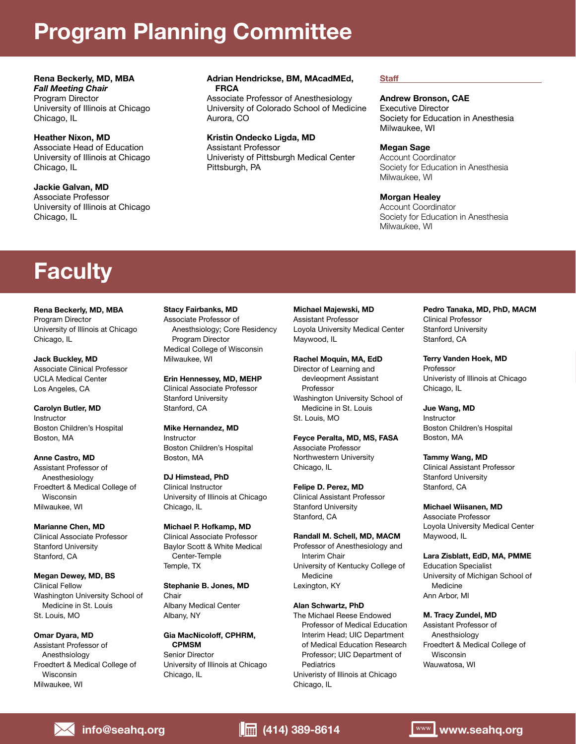### **Program Planning Committee**

**Rena Beckerly, MD, MBA** *Fall Meeting Chair* Program Director University of Illinois at Chicago Chicago, IL

**Heather Nixon, MD** Associate Head of Education University of Illinois at Chicago Chicago, IL

**Jackie Galvan, MD** Associate Professor University of Illinois at Chicago Chicago, IL

#### **Adrian Hendrickse, BM, MAcadMEd, FRCA**

Associate Professor of Anesthesiology University of Colorado School of Medicine Aurora, CO

**Kristin Ondecko Ligda, MD**

Assistant Professor Univeristy of Pittsburgh Medical Center Pittsburgh, PA

#### **Staff**

### **Andrew Bronson, CAE**

Executive Director Society for Education in Anesthesia Milwaukee, WI

#### **Megan Sage**

Account Coordinator Society for Education in Anesthesia Milwaukee, WI

### **Morgan Healey**

Account Coordinator Society for Education in Anesthesia Milwaukee, WI

### **Faculty**

**Rena Beckerly, MD, MBA** Program Director University of Illinois at Chicago Chicago, IL

**Jack Buckley, MD** Associate Clinical Professor UCLA Medical Center Los Angeles, CA

**Carolyn Butler, MD** Instructor Boston Children's Hospital Boston, MA

**Anne Castro, MD** Assistant Professor of Anesthesiology Froedtert & Medical College of Wisconsin Milwaukee, WI

**Marianne Chen, MD** Clinical Associate Professor Stanford University Stanford, CA

**Megan Dewey, MD, BS** Clinical Fellow Washington University School of Medicine in St. Louis St. Louis, MO

**Omar Dyara, MD** Assistant Professor of Anesthsiology Froedtert & Medical College of Wisconsin Milwaukee, WI

**Stacy Fairbanks, MD**

Associate Professor of Anesthsiology; Core Residency Program Director Medical College of Wisconsin Milwaukee, WI

**Erin Hennessey, MD, MEHP** Clinical Associate Professor Stanford University Stanford, CA

**Mike Hernandez, MD** Instructor Boston Children's Hospital Boston, MA

**DJ Himstead, PhD** Clinical Instructor University of Illinois at Chicago Chicago, IL

**Michael P. Hofkamp, MD** Clinical Associate Professor Baylor Scott & White Medical Center-Temple Temple, TX

**Stephanie B. Jones, MD** Chair Albany Medical Center Albany, NY

**Gia MacNicoloff, CPHRM, CPMSM** Senior Director University of Illinois at Chicago Chicago, IL

**Michael Majewski, MD** Assistant Professor Loyola University Medical Center Maywood, IL

**Rachel Moquin, MA, EdD**

Director of Learning and devleopment Assistant Professor Washington University School of Medicine in St. Louis St. Louis, MO

**Feyce Peralta, MD, MS, FASA** Associate Professor Northwestern University Chicago, IL

**Felipe D. Perez, MD** Clinical Assistant Professor Stanford University Stanford, CA

**Randall M. Schell, MD, MACM**

Professor of Anesthesiology and Interim Chair University of Kentucky College of Medicine Lexington, KY

### **Alan Schwartz, PhD**

The Michael Reese Endowed Professor of Medical Education Interim Head; UIC Department of Medical Education Research Professor; UIC Department of **Pediatrics** Univeristy of Illinois at Chicago Chicago, IL

**Pedro Tanaka, MD, PhD, MACM** Clinical Professor Stanford University Stanford, CA

**Terry Vanden Hoek, MD** Professor Univeristy of Illinois at Chicago Chicago, IL

**Jue Wang, MD** Instructor Boston Children's Hospital Boston, MA

**Tammy Wang, MD** Clinical Assistant Professor Stanford University Stanford, CA

**Michael Wiisanen, MD**

Associate Professor Loyola University Medical Center Maywood, IL

**Lara Zisblatt, EdD, MA, PMME** Education Specialist University of Michigan School of Medicine Ann Arbor, MI

#### **M. Tracy Zundel, MD**

Assistant Professor of Anesthsiology Froedtert & Medical College of Wisconsin Wauwatosa, WI